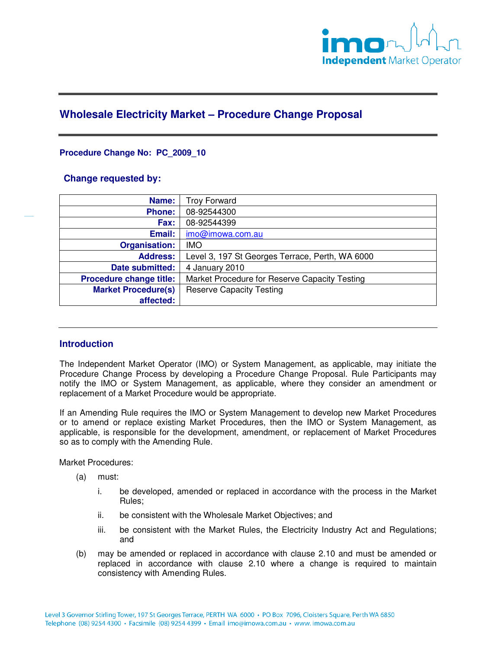

# **Wholesale Electricity Market – Procedure Change Proposal**

## **Procedure Change No: PC\_2009\_10**

## **Change requested by:**

| Name:                      | <b>Troy Forward</b>                             |
|----------------------------|-------------------------------------------------|
| <b>Phone:</b>              | 08-92544300                                     |
| Fax:                       | 08-92544399                                     |
| Email:                     | imo@imowa.com.au                                |
| <b>Organisation:</b>       | <b>IMO</b>                                      |
| <b>Address:</b>            | Level 3, 197 St Georges Terrace, Perth, WA 6000 |
| Date submitted:            | 4 January 2010                                  |
| Procedure change title:    | Market Procedure for Reserve Capacity Testing   |
| <b>Market Procedure(s)</b> | <b>Reserve Capacity Testing</b>                 |
| affected:                  |                                                 |

## **Introduction**

The Independent Market Operator (IMO) or System Management, as applicable, may initiate the Procedure Change Process by developing a Procedure Change Proposal. Rule Participants may notify the IMO or System Management, as applicable, where they consider an amendment or replacement of a Market Procedure would be appropriate.

If an Amending Rule requires the IMO or System Management to develop new Market Procedures or to amend or replace existing Market Procedures, then the IMO or System Management, as applicable, is responsible for the development, amendment, or replacement of Market Procedures so as to comply with the Amending Rule.

Market Procedures:

- (a) must:
	- i. be developed, amended or replaced in accordance with the process in the Market Rules;
	- ii. be consistent with the Wholesale Market Objectives; and
	- iii. be consistent with the Market Rules, the Electricity Industry Act and Regulations; and
- (b) may be amended or replaced in accordance with clause 2.10 and must be amended or replaced in accordance with clause 2.10 where a change is required to maintain consistency with Amending Rules.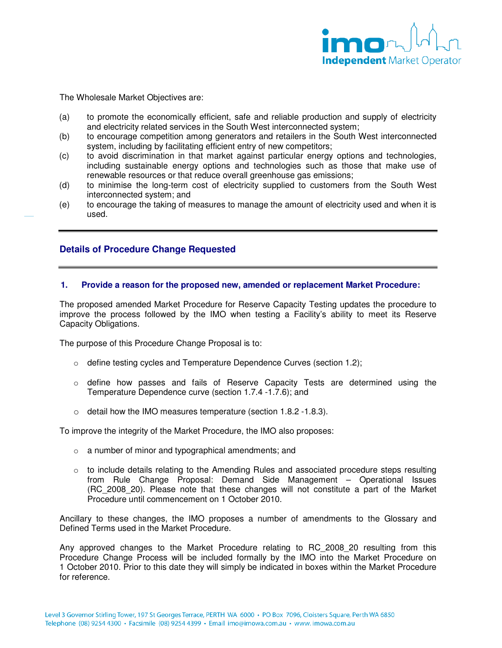

The Wholesale Market Objectives are:

- (a) to promote the economically efficient, safe and reliable production and supply of electricity and electricity related services in the South West interconnected system;
- (b) to encourage competition among generators and retailers in the South West interconnected system, including by facilitating efficient entry of new competitors;
- (c) to avoid discrimination in that market against particular energy options and technologies, including sustainable energy options and technologies such as those that make use of renewable resources or that reduce overall greenhouse gas emissions;
- (d) to minimise the long-term cost of electricity supplied to customers from the South West interconnected system; and
- (e) to encourage the taking of measures to manage the amount of electricity used and when it is used.

## **Details of Procedure Change Requested**

#### **1. Provide a reason for the proposed new, amended or replacement Market Procedure:**

The proposed amended Market Procedure for Reserve Capacity Testing updates the procedure to improve the process followed by the IMO when testing a Facility's ability to meet its Reserve Capacity Obligations.

The purpose of this Procedure Change Proposal is to:

- $\circ$  define testing cycles and Temperature Dependence Curves (section 1.2);
- o define how passes and fails of Reserve Capacity Tests are determined using the Temperature Dependence curve (section 1.7.4 -1.7.6); and
- $\circ$  detail how the IMO measures temperature (section 1.8.2 -1.8.3).

To improve the integrity of the Market Procedure, the IMO also proposes:

- o a number of minor and typographical amendments; and
- $\circ$  to include details relating to the Amending Rules and associated procedure steps resulting from Rule Change Proposal: Demand Side Management – Operational Issues (RC\_2008\_20). Please note that these changes will not constitute a part of the Market Procedure until commencement on 1 October 2010.

Ancillary to these changes, the IMO proposes a number of amendments to the Glossary and Defined Terms used in the Market Procedure.

Any approved changes to the Market Procedure relating to RC\_2008\_20 resulting from this Procedure Change Process will be included formally by the IMO into the Market Procedure on 1 October 2010. Prior to this date they will simply be indicated in boxes within the Market Procedure for reference.